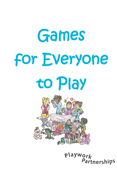# Games for Everyone to Play



playwork **Partnerships**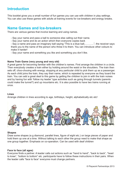## **Introduction**

This booklet gives you a small number of fun games you can use with children in play settings. You can also use these games with adults at training events for ice-breakers and energy breaks.

### **Name Games and Ice-breakers**

There are various games that involve learning and using names.

- Say your name and pass a ball to someone else calling out their name.
- Say your name and do an action which then everyone copies back

- Say a name and pass an imaginary ball saying "This is a blue ball,………..", the receiver says thank you to the name of the person who threw it to them. You can introduce other colours to make it harder!

- Say your name and something you like and something you don't like.

#### **Name Train Game (very young and very old)**

A great game for becoming familiar with the children's names. First arrange the children in a circle. Then everybody creates a train either by holding around the waist or the shoulders. The train then sets off, choo-chooing with energy, stopping at any particular child to pick them up as a passenger. As each child joins the train, they say their name, which is repeated by everyone as they board the train. You can add a great deal to this game by getting the children to join in with the train noises and by having fun with 'follow my leader' type activities such as going through tunnels (parents could make the tunnel?) and up mountains etc. It is also possible to have two trains running at once.

#### **Lines**

Arrange children in lines according to age, birthdays, height, alphabetically etc etc!



#### **Shapes**

Draw some shapes (e.g diamond, parallel lines, figure of eight etc.) on large pieces of paper and hold them up one at a time. Without talking to each other the group need to make that shape as one group together. Emphasis on co-operation. Can be used with deaf children

#### **Face to face (all ages)**

Everyone finds a partner. A leader calls out actions such as "hand to hand", "back to back", "head to knee", "bottom to bottom" etc. participants have to follow these instructions in their pairs. When the leader calls "face to face" everyone must change partners.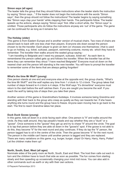#### **Simon says (all ages)**

The leader tells the group that they should follow instructions when the leader starts the instruction by saying "Simon says..." If the leader does not begin the instructions with the words "Simon says", then the group should not follow the instructions! The leader begins by saying something like "Simon says clap your hands" while clapping their hands. The participants follow. The leader speeds up the actions, always saying "Simon says" first. After a short while, the "Simon says" is omitted. Those participants who do follow the instructions anyway are 'out' of the game. The game can be continued for as long as it remains fun.

#### **The Holiday (older)**

This game is from Eastern Europe and is another version of musical chairs. Two rows of chairs are placed back to back with one less chair than players. Everyone sits down except the person chosen to be the traveller. Each player is given an item (or chooses one themselves ) that is used to go on holiday, e.g. ticket, suitcase, passport, swimming costume, money etc which they have to remember. The traveller then walks around the seated group saying -

"I am travelling to Belgrade and I need my passport, suitcase, ticket etc" As each item is remembered the person called gets up and follows the traveller. When the traveller has all the items they can remember they shout "I have reached Belgrade!" Everyone must sit down on the nearest chair and the person left standing is the new traveller. You will have to prompt the traveller to remember some of the items that are always getting forgotten!

#### **What's the time Mr Wolf? (young)**

One person stands at one end and everyone else at the opposite end, the group chants, "What's the time Mr Wolf?" and the wolf replies any time from 1 o'clock to 12 o'clock. The group takes that number of steps forward ie 4 o'clock is 4 steps. If the Wolf says "It's dinnertime" everyone must return to the start before the wolf catches them. If you are caught you become the wolf. If you reach the wolf by taking lots of steps then you take their place.

Another version of this game is Grandmothers footsteps. It involves someone being Grandma and standing with their back to the group who creep as quietly as they can towards her. If she hears anything she turns round and the group have to freeze. Anyone seen moving has to go back to the start. The first to reach Grandma takes her place.

#### **Duck Duck Goose (young)**

In this game, kids sit down in a circle facing each other. One person is "it" and walks around the circle. As they walk around, they tap people's heads and say whether they are a "duck" or a "goose". Once someone is the "goose" they get up and try to chase "it" around the circle. The goal is to tap that person before they are able sit down in the "goose's" spot. If the goose is not able to do this, they become "it" for the next round and play continues. If they do tap the "it" person, the person tagged has to sit in the centre of the circle. Then the goose become "it" for the next round. The person in the middle can't leave until another person is tagged and they are replaced. There are many variations on this game, e.g. burger, burger, chips! Or Harry, Harry, Harry, Potter! Let the children make them up!

#### **North, South, East, West (all ages)**

Nominate sides of the party room as North, South, East and West. The host then calls out each in turn and the children have to touch that side as soon as possible. The fun comes from starting slowly and then speeding up occasionally changing your mind mid move. You can also add in other commands such as earth or sky with their own actions.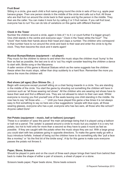#### **Fruit Bowl**

Sitting in a circle, give each child a fruit name going round the circle in sets of four e.g. apple pear banana grape. Then one person stands in the middle of the circle and calls out a fruit. All those who are that fruit run around the circle back to their space and tig the person in the middle. They then are the caller. You can make it more fun by calling 2 or 3 fruit names. If you call fruit bowl, everyone has to run! You can do lots of variations on this game with different themes!

#### **Clock in the Tower**

Number the children around a circle, again in lists of 1 to 4 ( or count further if a bigger group!) One child stands in the centre and everyone says " Clock in the Tower strike the hour!" The "clock" then holds their hands above their head and claps a number. The children who correspond to that number have to run around the circle and back to their seat and enter the circle to tig the clock. They then become the clock and it starts again!

#### **Musical Bumps/Statues (equipment – cd player)**

Play music for the children to dance to and when the music stops the children must 'bump' to the floor as fast as possible, the last one to sit is 'out.You might consider teaching the children a dance to start with; Birdie song or the Macarena.

A safer version of this game is Musical Statues which as the name suggests has the children freeze when the music stops, rather than drop suddenly to a hard floor. Remember the more you dance the more the children will.

#### **Red shoes (all ages) (Sun Shines On…)**

Begin with everyone except yourself sitting on a chair facing inwards in a circle. You are standing in the middle of the circle. You start the game by shouting out something the children will have in common such as "all those wearing red shoes" All the children who are wearing red shoes have to leave their seat and find a different one. They are not allowed to return to their own seat. Whilst everyone is moving you find yourself one of the seats leaving one child standing in the middle. He now has to say "all those who……." Until you have played this game a few times it is not always easy to find something to say so here are a few suggestions "people with blue eyes, all those wearing glasses, everyone who has a pet, everyone who has two ears, all those who like school? Anyone called Doris"

#### **Hot Potato (equipment – music, ball or balloon) (younger)**

These is a variation of 'pass the parcel' the main advantage being that it is played using a balloon or ball not a parcel. The 'potato' is passed around a circle to music but you explain it is a very hot potato, too hot to hold onto for more than a second so they have to pass it round as fast as possible. If they are caught with the potato when the music stops they are out. With a large group you could start with two potatoes going in opposite directions. To make the game really go with a buzz introduce forfeits. Instead of being out the children have to do something silly like "pull a face like a monkey" or "do the first bit of the birdie song". A tip for this game is make sure everyone passes the potato not throws it.

#### **Paper, Stone, Scissors**

Should be played in pairs and on the count of three each player brings their hand from behind their back to make the shape of either a pair of scissors, a sheet of paper or a stone.

Scissors beats paper, Paper beats stone, Stone beats scissors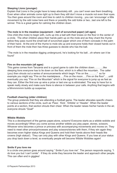#### **Sleeping Lions (younger)**

Explain that Lions in the jungle have to keep absolutely still…you can't even see them breathing. Even when other animals come right up to them they still don't move a muscle not even their eyes. You then goes around the room and tries to catch to children moving…you can 'encourage' a little movement by the odd noise here and there or possibly the odd tickle or two...last one left is the winner. This is a great game for calming the children down.

#### **The mole is in the meadow (equipment – ball of scrunched paper) (all ages)**

One child (the mole) to begin with, curls up into a ball with their knees on the floor in the center of a circle. The other children place their hands palm up on the mole and as they chant the rhyme below they pass round the small ball of scrunched paper which one of them conceals in the palm of their hand. At the end of the rhyme to mole sits up and everyone holds their closed hands out in front of them the mole then has three guesses to decide who has the ball.

"The mole is in the meadow digging underground, he's looking for his ball…oh where can it be found"

#### **Fire on the mountain (all ages)**

This game comes from Tanzania and is a good game to calm the children down………..like sleeping lions everyone has to lie down on the floor, which is in effect the mountain. The caller (you) then shouts out a series of announcements which begin "Fire on the……….." so for example you might say "Fire on the mantelpiece…..Fire on the moon…..Fire on the floor"…..until eventually you say "Fire on the Mountain" which is the signal for everyone to jump up as fast as they can. Either the first one up wins a prize or last one up is eliminated. The way to have fun is speak really slowly and make sure there is silence in between your calls. Anything that begins with a Mmmmmmm builds up suspense.

#### **Football cheering (older children)**

The group pretends that they are attending a football game. The leader allocates specific cheers to various sections of the circle, such as 'Pass', 'Kick', 'Dribble' or 'Header'. When the leader points at a section, that section shouts their cheer. When the leader raises his/her hands in the air, everyone shouts "Goal!"

#### **Wibble Wobble**

This is a development of the games paper,stone, scisorrs! Everyone starts as a wibble wobble and moves accordingly! When you come across another wibble you play paper, stones, scissors. Whoever wins becomes a prince or princess with accompanying movements and moves on. They need to meet other prince/princesses and play scissors/stones with them, if they win again they becomes even higher status Kings and Queens and hold their hands above their heads like crowns (high status!). They can only play with other Kings and Queens. If you lose at your status you drop back down a level, so eventually people will become Wibble Wobbles again!

#### **Smile if you love me**

In a circle one person goes around saying " Smile if you love me". The person responds saying, "I do love you but I can't smile". If they do smile they become the leader and approach other people. This can often end in giggles!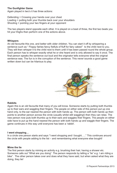#### **The Gunfighter Game**

Again played in two's it has three actions:

Defending = Crossing your hands over your chest Loading = putting both your thumbs back over your shoulders Shooting = pointing your two fingers at your opponent

The two players stand opposite each other. It is played on a beat of three, the first two beats you hit your thighs then perform one of the actions above.

#### **Whispers**

An old favourite this one, and better with older children. You can start it off by whispering a sentence such as " Floppy fairies fancy fistfuls of fluff for fairy cakes!" to the child next to you. They will then whisper it to the child next to them until it has been passed round the whole group. Each person has to whisper exactly what he or she heard and is only allowed to say it once. The final person speaks the sentence out loud and the originator tells everyone what the original sentence was. The fun is in the corruption of the sentence. This never sounds a good game written down but can be hilarious to play.



#### **Rabbits**

Again this is an old favourite that many of you will know. Someone starts by putting both thumbs up to their ears and waggling their fingers. The people on either side of this person put up one hand only, to the ear nearest the person with both hands up. The person with both hands up then points to another person across the circle (usually whilst still waggling!) then they can relax. The new person now puts both thumbs up to their ears and waggles their fingers. The people on either side have to put up the hand nearest the person with both hands up and waggle their fingers. The game continues in this way until everyone has been a 'rabbit'.

#### **I went shopping…**

In a circle one person starts and says "I went shopping and I bought….." This continues around the circle with people adding to the list – and remembering what everyone else bought!

#### **Mime the lie**

The first person starts by miming an activity e.g. brushing their hair, having a shower etc. Someone calls out "What are you doing". The person responds by telling a "lie" e.g. I am riding a bike". The other person takes over and does what they have said, but when asked what they are doing, they lie!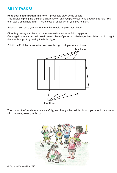## **SILLY TASKS!**

#### **Poke your head through this hole** – (need lots of A4 scrap paper)

This involves giving the children a challenge of "can you poke your head through this hole" You then tear a small hole in an A4 size piece of paper which you give to them.

Solution – you poke your finger through the hole to 'poke' your head

#### **Climbing through a piece of paper** – (needs even more A4 scrap paper)

Once again you tear a small hole in an A4 piece of paper and challenge the children to climb right the way through it by tearing the hole bigger.

Solution – Fold the paper in two and tear through both pieces as follows:



Tear Here

Then unfold the 'necklace' shape carefully, tear through the middle bits and you should be able to slip completely over your body.

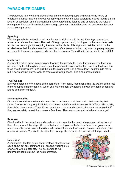## **PARACHUTE GAMES**

The parachute is a wonderful piece of equipment for large groups and can provide hours of entertainment both indoors and out. As some games can be quite boisterous it does require a high level of supervision, and it is essential that the participants listen to and understand the rules of each game. If used with a mixed age range group ensure that older ones are aware and look out for the younger ones.

#### **Spinning**

With the parachute on the floor ask a volunteer to sit in the middle with their legs crossed and arms raised above their head. The rest of the group stand and, holding on to the parachute, walk around the person gently wrapping them up in the 'chute. It is important that the person in the middle keeps their hands above their head for safety reasons. When they are completely wrapped up, count to three and everyone pulls the chute outwards. This will spin the person in the middle!

#### **Mushroom**

A general practice game in raising and lowering the parachute. Once this is mastered then you can move on to all the other games. Hold the parachute down to the floor and count to three. On three shout "mushroom!" and pull the 'chute up and gently let it come down. Ask the kids not to pull it down sharply as you want to create a billowing effect – like a mushroom shape!

#### **Trust Games**

Everyone holds on to the edge of the parachute. Very gently lean back using the weight of the rest of the group to balance against. When you feel confident try holding on with one hand or bending knees and lowering down.

#### **Washing Machine**

Choose a few children to lie underneath the parachute on their backs with their arms by their sides. The rest of the group hold the parachute to the floor and move their arms from side to side, thus giving them a wash! Then lift the parachute up in a mushroom to give them a tumble dry! If they are very dirty repeat the process a few times. Then swop over and let others have a go!!

#### **Rainbow**

Stand and hold the parachute and create a mushroom. As the parachute goes up call out one of the colours around the edge. All those that are holding on to that colour have to let go and run underneath the parachute to the other side before it comes down again. You can select one, two or several colours. You could also ask them to hop, skip or jump etc underneath the parachute.

#### **Red Shoes**

A variation on the last game where instead of colours you could shout out any command e.g. anyone wearing blue, or anyone with a sister etc. The last person to run underneath could call out the next command.

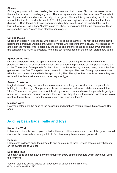#### **Sharks!**

Sit the group down with them holding the parachute over their knees. Choose one person to be the shark ( or more if it is a large group ). The shark goes underneath the parachute. Then select two lifeguards who stand around the edge of the group. The shark is trying to drag people into the sea with him/her ( i.e. under the 'chute ). The Lifeguards are trying to rescue them before they disappear. Start the game by everyone pretending they are sitting on the beach dabbling their legs in the water. Call "Shark Attack!" to cue the shark to begin and let the fun commence! Once everyone has been "eaten", then start the game again!

#### **Cat and Mouse**

Choose one person to be the cat who goes on top of the parachute. The rest of the group stand holding the parachute waist height. Select a mouse who goes under the 'chute. The cat has to try and catch the mouse, who is helped by the group shaking the 'chute so as his/her whereabouts are concealed as much as possible. When the cat has pounced on the mouse, start a new game.

#### **Spider on the Web**

Choose one person to be the spider and ask them to sit cross-legged in the middle of the parachute. Four other children are chosen and go under the parachute at four points around the spider. The object of the game is for the spider to catch the flies by touching them, unless the flies get to the spider first! The spider can not move from the spot. The rest of the group make waves with the parachute to try and hide the approaching flies. The spider has three lives before they are replaced, the flies must leave as soon as they are tigged.

#### **Swamp Creatures**

Magically transforming the parachute into a swamp ask the group to sit around the parachute, holding it over their legs. One person is chosen as swamp creature and slides underneath the 'chute. The rest of the group make 'orrible slurpy swamp noises and move the parachute gently up and down. The swamp creature touches their toes and they slip into the swamp transformed into a creature themselves! Good for lots of noises and special effects!!!

#### **Mexican Wave**

Everyone holds onto the edge of the parachute and practices making ripples, big ones and little ones.

## **Adding bean bags, balls and toys...**

#### **Round the World**

Following on from the Wave, place a ball at the edge of the parachute and see if the group can roll it around the circle without letting it fall off. See how many times you can go round.

#### **Popcorn**

Place some balloons on to the parachute and on a count of three, try and toss as many balloons off the parachute as you can.

#### **Bean Bag Toss**

Use bean bags and see how many the group can throw off the parachute whilst they count up to ten (or more!!)

You can also use beanie babies or floppy toys for variations on this game. © Playwork Partnerships 2013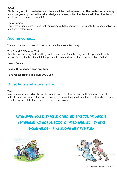#### **GOAL!**

Divide the group into two halves and place a soft ball on the parachute. The two teams have to try and score goals by tossing the ball as designated areas in the other teams half. The other team has to save as many as possible!

#### **Team Games**

There are various team games that can played with the parachute, using balls/bean bags/balloons of different colours etc.

## **Adding songs...**

You can use many songs with the parachute; here are a few to try.

#### **The Grand Ol' Duke of York**

Run through the song first by sitting on the parachute. Then holding on to the parachute walk around for the first two lines. Lift the parachute up and down as the song says. Try it faster!

**Hokey Kokey**

**Heads, Shoulders, Knees and Toes**

**Here We Go Round The Mulberry Bush**

## **Quiet time and story telling...**

#### **Tent**

Make a mushroom and as the 'chute comes down step forward and pull the parachute gently behind you under your bottom and sit down. This should make a tent effect over the whole group. Use this space to tell stories, jokes etc or to chat quietly.

Whatever you play with children and young people remember to adapt according to age, ability and experience – and above all have fun!